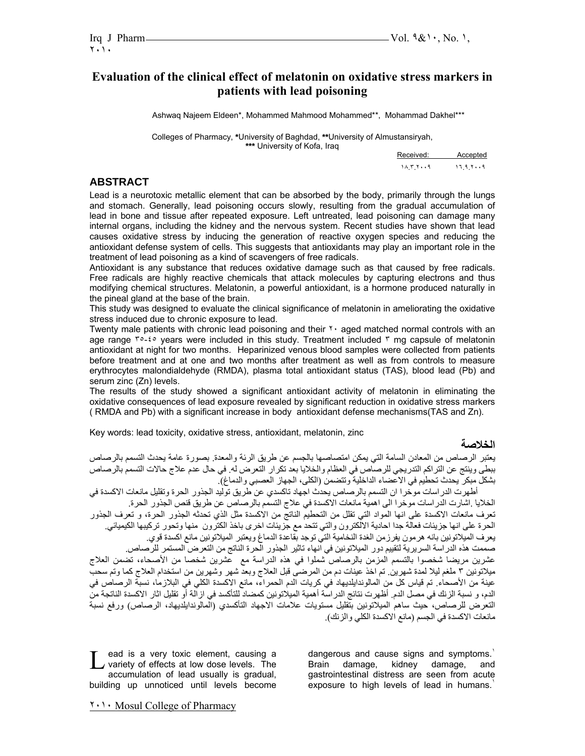# **Evaluation of the clinical effect of melatonin on oxidative stress markers in patients with lead poisoning**

Ashwaq Najeem Eldeen\*, Mohammed Mahmood Mohammed\*\*, Mohammad Dakhel\*\*\*

Colleges of Pharmacy, **\***University of Baghdad, **\*\***University of Almustansiryah, **\*\*\*** University of Kofa, Iraq

| <b>UITIVOIDILY UITIVIU, ITUY</b> | Received: | Accepted |
|----------------------------------|-----------|----------|
|                                  | 11.579    | 17979    |

### **ABSTRACT**

Lead is a neurotoxic metallic element that can be absorbed by the body, primarily through the lungs and stomach. Generally, lead poisoning occurs slowly, resulting from the gradual accumulation of lead in bone and tissue after repeated exposure. Left untreated, lead poisoning can damage many internal organs, including the kidney and the nervous system. Recent studies have shown that lead causes oxidative stress by inducing the generation of reactive oxygen species and reducing the antioxidant defense system of cells. This suggests that antioxidants may play an important role in the treatment of lead poisoning as a kind of scavengers of free radicals.

Antioxidant is any substance that reduces oxidative damage such as that caused by free radicals. Free radicals are highly reactive chemicals that attack molecules by capturing electrons and thus modifying chemical structures. Melatonin, a powerful antioxidant, is a hormone produced naturally in the pineal gland at the base of the brain.

This study was designed to evaluate the clinical significance of melatonin in ameliorating the oxidative stress induced due to chronic exposure to lead.

Twenty male patients with chronic lead poisoning and their <sup>\*</sup> aged matched normal controls with an age range  $\tau \circ f$  years were included in this study. Treatment included  $\tau$  mg capsule of melatonin antioxidant at night for two months. Heparinized venous blood samples were collected from patients before treatment and at one and two months after treatment as well as from controls to measure erythrocytes malondialdehyde (RMDA), plasma total antioxidant status (TAS), blood lead (Pb) and serum zinc (Zn) levels.

The results of the study showed a significant antioxidant activity of melatonin in eliminating the oxidative consequences of lead exposure revealed by significant reduction in oxidative stress markers ( RMDA and Pb) with a significant increase in body antioxidant defense mechanisms(TAS and Zn).

Key words: lead toxicity, oxidative stress, antioxidant, melatonin, zinc

#### **الخلاصة**

يعتبر الرصاص من المعادن السامة التي يمكن امتصاصها بالجسم عن طريق الرئة والمعدة. بصورة عامة يحدث التسمم بالرصاص ببطى وينتج عن التراآم التدريجي للرصاص في العظام والخلايا بعد تكرار التعرض له. في حال عدم علاج حالات التسمم بالرصاص بشكل مبكر يحدث تحطيم في الاعضاء الداخلية وتتضمن (الكلى، الجهاز العصبي والدماغ).

أطهرت الدراسات موخرا ان التسمم بالرصاص يحدث اجهاد تاكسدي عن طريق توليد الجذور الحرة وتقليل مانعات الاكسدة في الخلايا .اشارت الدراسات موخرا الى اهمية مانعات الاآسدة في علاج التسمم بالرصاص عن طريق قنص الجذور الحرة. تعرف مانعات الاكسدة على انها المواد التي تقلل من التحطيم الناتج من الاكسدة مثل الذي تحدثه الجذور الحرة، و تعرف الجذور الحرة على انها جزيئات فعالة جدا احادية الالكترون والتي تتحد مع جزيئات اخرى باخذ الكترون منها وتحور ترآيبها الكيميائي. يعرف الميلاتونين بانه هرمون يفرزمن الغدة النخامية التي توجد بقاعدة الدماغ ويعتبر الميلاتونين مانع اكسدة قوي. صممت هذه الدراسة السريرية لتقييم دور الميلاتونين في انهاء تاثير الجذور الحرة الناتج من التعرض المستمر للرصاص.

عشرين مريضا شخصوا بالتسمم المزمن بالرصاص شملوا في هذه الدراسة مع عشرين شخصا من الأصحاء، تضمن العلاج ميلاتونين ٣ ملغم ليلا لمدة شهرين. تم اخذ عينات دم من المرضى قبل العلاج وبعد شهر وشهرين من استخدام العلاج كما وتم سحب عينة من الأصحاء. تم قياس كل من المالوندايلديهاد في كريات الدم الحمراء، مانع الاكسدة الكلي في البلازما، نسبة الرصاص في الدم، و نسبة الزنك في مصل الدم. أظهرت نتائج الدراسة أهمية الميلاتونين كمضاد للتأكسد في ازالة أو تقليل اثار الاكسدة الناتجة من التعرض للرصاص، حيث ساهم الميلاتونين بتقليل مستويات علامات الاجهاد التأآسدي (المالوندايلديهاد، الرصاص) ورفع نسبة مانعات الاكسدة في الجسم (مانع الاكسدة الكلي والزنك).

ead is a very toxic element, causing a Lead is a very toxic element, causing a<br>variety of effects at low dose levels. The<br>example time of lood uppelly is gradual. accumulation of lead usually is gradual, building up unnoticed until levels become

dangerous and cause signs and symptoms.<sup>1</sup> Brain damage, kidney damage, and gastrointestinal distress are seen from acute exposure to high levels of lead in humans.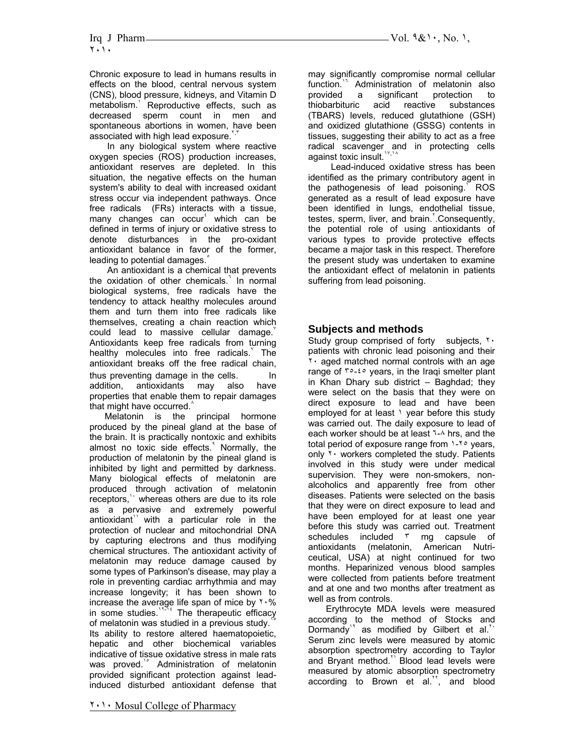Chronic exposure to lead in humans results in effects on the blood, central nervous system (CNS), blood pressure, kidneys, and Vitamin D metabolism. Reproductive effects, such as decreased sperm count in men and spontaneous abortions in women, have been associated with high lead exposure.

 In any biological system where reactive oxygen species (ROS) production increases, antioxidant reserves are depleted. In this situation, the negative effects on the human system's ability to deal with increased oxidant stress occur via independent pathways. Once free radicals (FRs) interacts with a tissue, many changes can occur<sup>t</sup> which can be defined in terms of injury or oxidative stress to denote disturbances in the pro-oxidant antioxidant balance in favor of the former, leading to potential damages.

 An antioxidant is a chemical that prevents the oxidation of other chemicals. In normal biological systems, free radicals have the tendency to attack healthy molecules around them and turn them into free radicals like themselves, creating a chain reaction which could lead to massive cellular damage. Antioxidants keep free radicals from turning healthy molecules into free radicals. The antioxidant breaks off the free radical chain, thus preventing damage in the cells. In addition, antioxidants may also have properties that enable them to repair damages that might have occurred. $\hat{ }$ 

 Melatonin is the principal hormone produced by the pineal gland at the base of the brain. It is practically nontoxic and exhibits almost no toxic side effects.<sup>4</sup> Normally, the production of melatonin by the pineal gland is inhibited by light and permitted by darkness. Many biological effects of melatonin are produced through activation of melatonin receptors, whereas others are due to its role as a pervasive and extremely powerful antioxidant<sup>1</sup> with a particular role in the protection of nuclear and mitochondrial DNA by capturing electrons and thus modifying chemical structures. The antioxidant activity of melatonin may reduce damage caused by some types of Parkinson's disease, may play a role in preventing cardiac arrhythmia and may increase longevity; it has been shown to increase the average life span of mice by  $\frac{1}{6}$ % in some studies. $11111}$  The therapeutic efficacy of melatonin was studied in a previous study. Its ability to restore altered haematopoietic, hepatic and other biochemical variables indicative of tissue oxidative stress in male rats was proved.<sup>1°</sup> Administration of melatonin provided significant protection against leadinduced disturbed antioxidant defense that

٢٠١٠ Mosul College of Pharmacy

may significantly compromise normal cellular function.<sup>11</sup> Administration of melatonin also provided a significant protection to thiobarbituric acid reactive substances (TBARS) levels, reduced glutathione (GSH) and oxidized glutathione (GSSG) contents in tissues, suggesting their ability to act as a free radical scavenger and in protecting cells against toxic insult.<sup>17,14</sup>

 Lead-induced oxidative stress has been identified as the primary contributory agent in the pathogenesis of lead poisoning. ROS generated as a result of lead exposure have been identified in lungs, endothelial tissue, testes, sperm, liver, and brain. Consequently, the potential role of using antioxidants of various types to provide protective effects became a major task in this respect. Therefore the present study was undertaken to examine the antioxidant effect of melatonin in patients suffering from lead poisoning.

#### **Subjects and methods**

Study group comprised of forty subjects,  $\mathbf{r} \cdot$ patients with chronic lead poisoning and their ٢٠ aged matched normal controls with an age range of  $\frac{1}{2}$  years, in the Iraqi smelter plant in Khan Dhary sub district – Baghdad; they were select on the basis that they were on direct exposure to lead and have been employed for at least \ year before this study was carried out. The daily exposure to lead of each worker should be at least ٦-٨ hrs, and the total period of exposure range from  $1 - 5$  years, only ٢٠ workers completed the study. Patients involved in this study were under medical supervision. They were non-smokers, nonalcoholics and apparently free from other diseases. Patients were selected on the basis that they were on direct exposure to lead and have been employed for at least one year before this study was carried out. Treatment schedules included ٣ mg capsule of antioxidants (melatonin, American Nutriceutical, USA) at night continued for two months. Heparinized venous blood samples were collected from patients before treatment and at one and two months after treatment as well as from controls.

 Erythrocyte MDA levels were measured according to the method of Stocks and Dormandy<sup>14</sup> as modified by Gilbert et al.<sup>11</sup> Serum zinc levels were measured by atomic absorption spectrometry according to Taylor and Bryant method.<sup>11</sup> Blood lead levels were measured by atomic absorption spectrometry according to Brown et al. $<sup>17</sup>$ , and blood</sup>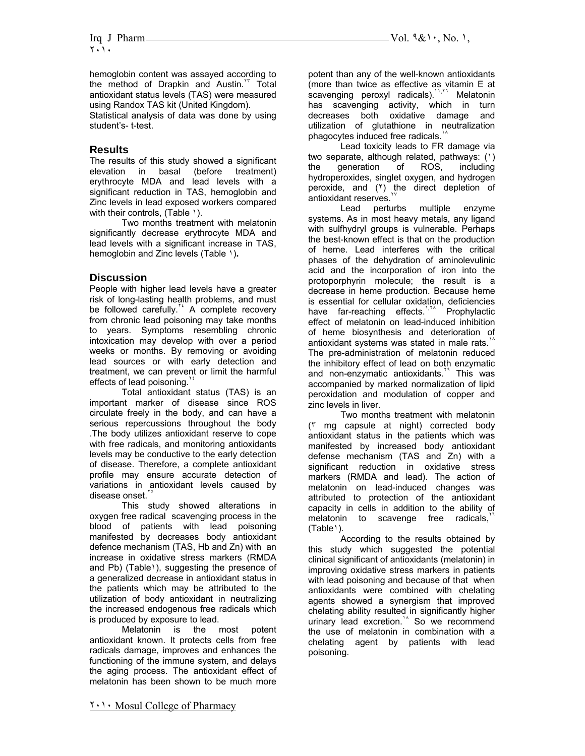hemoglobin content was assayed according to the method of Drapkin and Austin.<sup>17</sup> Total antioxidant status levels (TAS) were measured using Randox TAS kit (United Kingdom).

Statistical analysis of data was done by using student's- t-test.

### **Results**

The results of this study showed a significant elevation in basal (before treatment) erythrocyte MDA and lead levels with a significant reduction in TAS, hemoglobin and Zinc levels in lead exposed workers compared with their controls, (Table 1).

Two months treatment with melatonin significantly decrease erythrocyte MDA and lead levels with a significant increase in TAS, hemoglobin and Zinc levels (Table ١)**.** 

## **Discussion**

People with higher lead levels have a greater risk of long-lasting health problems, and must be followed carefully.<sup>x</sup> A complete recovery from chronic lead poisoning may take months to years. Symptoms resembling chronic intoxication may develop with over a period weeks or months. By removing or avoiding lead sources or with early detection and treatment, we can prevent or limit the harmful effects of lead poisoning.

Total antioxidant status (TAS) is an important marker of disease since ROS circulate freely in the body, and can have a serious repercussions throughout the body .The body utilizes antioxidant reserve to cope with free radicals, and monitoring antioxidants levels may be conductive to the early detection of disease. Therefore, a complete antioxidant profile may ensure accurate detection of variations in antioxidant levels caused by disease onset.

This study showed alterations in oxygen free radical scavenging process in the blood of patients with lead poisoning manifested by decreases body antioxidant defence mechanism (TAS, Hb and Zn) with an increase in oxidative stress markers (RMDA and Pb) (Table<sup>1</sup>), suggesting the presence of a generalized decrease in antioxidant status in the patients which may be attributed to the utilization of body antioxidant in neutralizing the increased endogenous free radicals which is produced by exposure to lead.

Melatonin is the most potent antioxidant known. It protects cells from free radicals damage, improves and enhances the functioning of the immune system, and delays the aging process. The antioxidant effect of melatonin has been shown to be much more potent than any of the well-known antioxidants (more than twice as effective as vitamin E at scavenging peroxyl radicals).<sup>11, T</sup> Melatonin has scavenging activity, which in turn decreases both oxidative damage and utilization of glutathione in neutralization phagocytes induced free radicals.

Lead toxicity leads to FR damage via two separate, although related, pathways: (١) the generation of ROS, including hydroperoxides, singlet oxygen, and hydrogen peroxide, and (٢) the direct depletion of antioxidant reserves.

Lead perturbs multiple enzyme systems. As in most heavy metals, any ligand with sulfhydryl groups is vulnerable. Perhaps the best-known effect is that on the production of heme. Lead interferes with the critical phases of the dehydration of aminolevulinic acid and the incorporation of iron into the protoporphyrin molecule; the result is a decrease in heme production. Because heme is essential for cellular oxidation, deficiencies have far-reaching effects.<sup>1, TA</sup> Prophylactic effect of melatonin on lead-induced inhibition of heme biosynthesis and deterioration of antioxidant systems was stated in male rats. The pre-administration of melatonin reduced the inhibitory effect of lead on both enzymatic and non-enzymatic antioxidants.<sup>14</sup> This was accompanied by marked normalization of lipid peroxidation and modulation of copper and zinc levels in liver.

Two months treatment with melatonin (٣ mg capsule at night) corrected body antioxidant status in the patients which was manifested by increased body antioxidant defense mechanism (TAS and Zn) with a significant reduction in oxidative stress markers (RMDA and lead). The action of melatonin on lead-induced changes was attributed to protection of the antioxidant capacity in cells in addition to the ability of melatonin to scavenge free radicals, (Table١).

 According to the results obtained by this study which suggested the potential clinical significant of antioxidants (melatonin) in improving oxidative stress markers in patients with lead poisoning and because of that when antioxidants were combined with chelating agents showed a synergism that improved chelating ability resulted in significantly higher urinary lead excretion.<sup>14</sup> So we recommend the use of melatonin in combination with a chelating agent by patients with lead poisoning.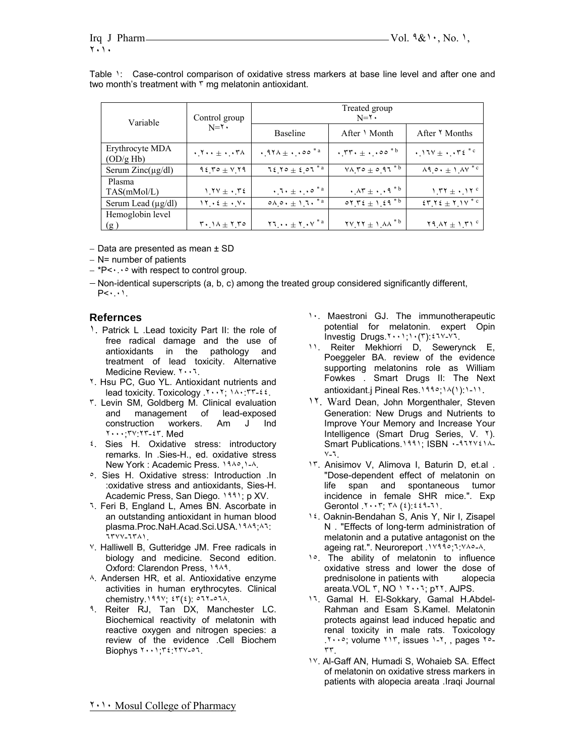Table ١: Case-control comparison of oxidative stress markers at base line level and after one and two month's treatment with  $\mathbf{r}$  mg melatonin antioxidant.

| Variable                                   | Control group<br>$N = Y$                                                              | Treated group<br>$N = Y$                                                     |                                                                                         |                                                             |
|--------------------------------------------|---------------------------------------------------------------------------------------|------------------------------------------------------------------------------|-----------------------------------------------------------------------------------------|-------------------------------------------------------------|
|                                            |                                                                                       | <b>Baseline</b>                                                              | After $\lambda$ Month                                                                   | After Y Months                                              |
| Erythrocyte MDA<br>$\left(OD/g\ Hb\right)$ | $\cdot$ , $\cdot$ $\cdot$ $+$ $\cdot$ $\cdot$ $\cdot$ $\cdot$ $\cdot$ $\cdot$ $\cdot$ | $.971 \pm .00^{*}$ <sup>2</sup>                                              | $\cdot$ , $\mathsf{rr} \cdot \pm \cdot \cdot \cdot \circ \circ \cdot \circ \cdot \circ$ | $.17V \pm 72$ <sup>*c</sup>                                 |
| Serum $Zinc(\mu g/dl)$                     | $95.70 \pm 1.19$                                                                      | $75.70 \pm 2.07^{*}$                                                         | $V \wedge V \circ \pm \circ 97 \stackrel{\overline{*} \b}{\overline{}}$                 | $\lambda$ 9. $\leftrightarrow$ 1. $\lambda$ V <sup>*c</sup> |
| Plasma<br>TAS(mMol/L)                      | $1.7V + .72$                                                                          | $\cdot$ , $\cdot$ + $\cdot$ , $\cdot$ $\circ$ $\cdot$ $\cdot$ $\circ$        | $\cdot$ $\Lambda$ r $\pm$ $\cdot$ $\cdot$ 9 <sup>*b</sup>                               | $1.77 \pm .17$ c                                            |
| Serum Lead $(\mu g/dl)$                    | $\gamma$ $\gamma$ $\gamma$ $\epsilon$ $\pm$ $\gamma$ $\gamma$ $\gamma$                | $0 \wedge 0 \cdot \pm 1.7 \cdot \sqrt[3]{a}$                                 | $o\gamma \gamma \epsilon \pm 1 \epsilon \sqrt{q^*b}$                                    | $57.72 \pm 1.1V$ <sup>*c</sup>                              |
| Hemoglobin level<br>(g)                    | $\mathbf{r} \cdot \mathbf{1} \wedge \pm \mathbf{1} \mathbf{1} \cdot \mathbf{0}$       | $\mathbf{Y} \cdot \mathbf{X} \cdot \mathbf{Y} + \mathbf{Y} \cdot \mathbf{Y}$ | $\mathbf{Y} \times \mathbf{Y} + \mathbf{1} \times \mathbf{A} * \mathbf{B}$              | $Y9AY \pm YY1^c$                                            |

− Data are presented as mean ± SD

- − N= number of patients
- − \*P<٠.٠٥ with respect to control group.

− Non-identical superscripts (a, b, c) among the treated group considered significantly different,  $P<\cdot\cdot\cdot$ 

#### **Refernces**

- 1. Patrick L . Lead toxicity Part II: the role of free radical damage and the use of antioxidants in the pathology and treatment of lead toxicity. Alternative Medicine Review. ٢٠٠٦.
- ٢. Hsu PC, Guo YL. Antioxidant nutrients and lead toxicity. Toxicology . ٢٠٠٢; ١٨٠: ٣٣-٤٤.
- ٣. Levin SM, Goldberg M. Clinical evaluation and management of lead-exposed construction workers. Am J Ind ٢٠٠٠;٣٧:٢٣-٤٣. Med
- ٤. Sies H. Oxidative stress: introductory remarks. In .Sies-H., ed. oxidative stress New York : Academic Press. ١٩٨٥,١-٨.
- ٥. Sies H. Oxidative stress: Introduction .In :oxidative stress and antioxidants, Sies-H. Academic Press, San Diego. ١٩٩١; p XV.
- ٦. Feri B, England L, Ames BN. Ascorbate in an outstanding antioxidant in human blood plasma.Proc.NaH.Acad.Sci.USA.١٩٨٩;٨٦: ٦٣٧٧-٦٣٨١.
- ٧. Halliwell B, Gutteridge JM. Free radicals in biology and medicine. Second edition. Oxford: Clarendon Press, ١٩٨٩.
- ٨. Andersen HR, et al. Antioxidative enzyme activities in human erythrocytes. Clinical chemistry.١٩٩٧; ٤٣(٤): ٥٦٢-٥٦٨.
- ٩. Reiter RJ, Tan DX, Manchester LC. Biochemical reactivity of melatonin with reactive oxygen and nitrogen species: a review of the evidence .Cell Biochem Biophys ٢٠٠١;٣٤:٢٣٧-٥٦.
- ١٠. Maestroni GJ. The immunotherapeutic potential for melatonin. expert Opin Investig Drugs.٢٠٠١;١٠(٣):٤٦٧-٧٦.
- ١١. Reiter Mekhiorri D, Sewerynck E, Poeggeler BA. review of the evidence supporting melatonins role as William Fowkes . Smart Drugs II: The Next antioxidant.j Pineal Res.١٩٩٥;١٨(١):١-١١.
- ١٢. Ward Dean, John Morgenthaler, Steven Generation: New Drugs and Nutrients to Improve Your Memory and Increase Your Intelligence (Smart Drug Series, V. ٢). Smart Publications. 1991; ISBN ٠-٩٦٢٧٤١٨-٧-٦.
- ١٣. Anisimov V, Alimova I, Baturin D, et.al . "Dose-dependent effect of melatonin on life span and spontaneous tumor incidence in female SHR mice.". Exp Gerontol .٢٠٠٣; ٣٨ (٤):٤٤٩-٦١.
- ١٤. Oaknin-Bendahan S, Anis Y, Nir I, Zisapel N . "Effects of long-term administration of melatonin and a putative antagonist on the ageing rat.". Neuroreport .١٧٩٩٥;٦:٧٨٥-٨.
- 1<sup>o</sup>. The ability of melatonin to influence oxidative stress and lower the dose of prednisolone in patients with alopecia areata.VOL ٣, NO ١ ٢٠٠٦; p٢٢. AJPS.
- ١٦. Gamal H. El-Sokkary, Gamal H.Abdel-Rahman and Esam S.Kamel. Melatonin protects against lead induced hepatic and renal toxicity in male rats. Toxicology .٢٠٠٥; volume ٢١٣, issues ١-٢, , pages ٢٥- ٣٣.
- ١٧. Al-Gaff AN, Humadi S, Wohaieb SA. Effect of melatonin on oxidative stress markers in patients with alopecia areata .Iraqi Journal